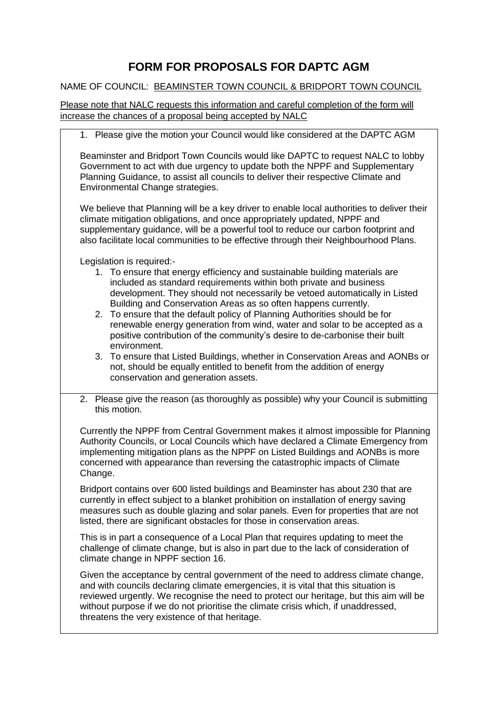## **FORM FOR PROPOSALS FOR DAPTC AGM**

## NAME OF COUNCIL: BEAMINSTER TOWN COUNCIL & BRIDPORT TOWN COUNCIL

Please note that NALC requests this information and careful completion of the form will increase the chances of a proposal being accepted by NALC

1. Please give the motion your Council would like considered at the DAPTC AGM

Beaminster and Bridport Town Councils would like DAPTC to request NALC to lobby Government to act with due urgency to update both the NPPF and Supplementary Planning Guidance, to assist all councils to deliver their respective Climate and Environmental Change strategies.

We believe that Planning will be a key driver to enable local authorities to deliver their climate mitigation obligations, and once appropriately updated, NPPF and supplementary guidance, will be a powerful tool to reduce our carbon footprint and also facilitate local communities to be effective through their Neighbourhood Plans.

Legislation is required:-

- 1. To ensure that energy efficiency and sustainable building materials are included as standard requirements within both private and business development. They should not necessarily be vetoed automatically in Listed Building and Conservation Areas as so often happens currently.
- 2. To ensure that the default policy of Planning Authorities should be for renewable energy generation from wind, water and solar to be accepted as a positive contribution of the community's desire to de-carbonise their built environment.
- 3. To ensure that Listed Buildings, whether in Conservation Areas and AONBs or not, should be equally entitled to benefit from the addition of energy conservation and generation assets.
- 2. Please give the reason (as thoroughly as possible) why your Council is submitting this motion.

Currently the NPPF from Central Government makes it almost impossible for Planning Authority Councils, or Local Councils which have declared a Climate Emergency from implementing mitigation plans as the NPPF on Listed Buildings and AONBs is more concerned with appearance than reversing the catastrophic impacts of Climate Change.

Bridport contains over 600 listed buildings and Beaminster has about 230 that are currently in effect subject to a blanket prohibition on installation of energy saving measures such as double glazing and solar panels. Even for properties that are not listed, there are significant obstacles for those in conservation areas.

This is in part a consequence of a Local Plan that requires updating to meet the challenge of climate change, but is also in part due to the lack of consideration of climate change in NPPF section 16.

Given the acceptance by central government of the need to address climate change, and with councils declaring climate emergencies, it is vital that this situation is reviewed urgently. We recognise the need to protect our heritage, but this aim will be without purpose if we do not prioritise the climate crisis which, if unaddressed, threatens the very existence of that heritage.